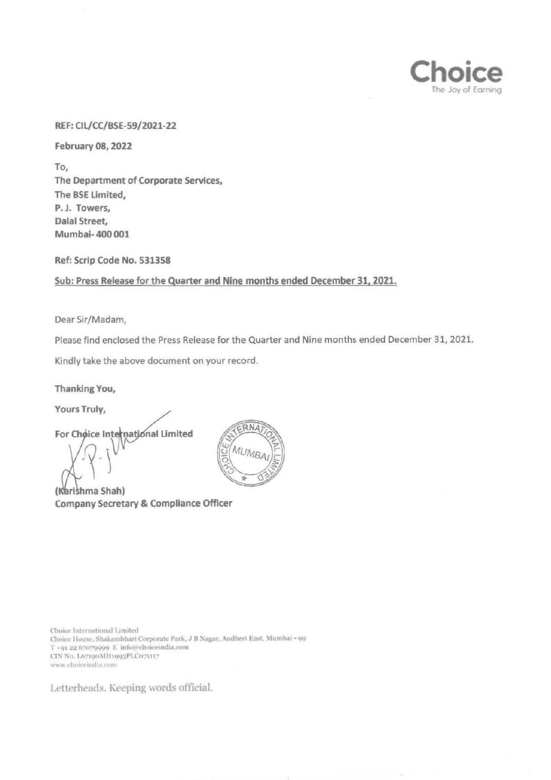

#### REF: CIL/CC/BSE-59/2021-22

February 08, 2022

To, The Department of Corporate Services, The BSE Limited, P.J. Towers, Dalal Street, Mumbai- 400 001

Ref: Scrip Code No. 531358

Sub: Press Release for the Quarter and Nine months ended December 31, 2021.

Dear Sir/Madam,

Please find enclosed the Press Release for the Quarter and Nine months ended December 31, 2021.

Kindly take the above document on your record.

Thanking You,

Yours Truly,

For Choice International Limited

(Karishma Shah) Company Secretary & Compliance Officer



Choice International Limited Choice House, Shakambhari Corporate Park, J B Nagar, Andheri East, Mumbai - 99 T +91 22 67079999 E info@choiceindia.com CIN No. L67190MH1993PLC071117 www.choiceindia.com

Letterheads. Keeping words official.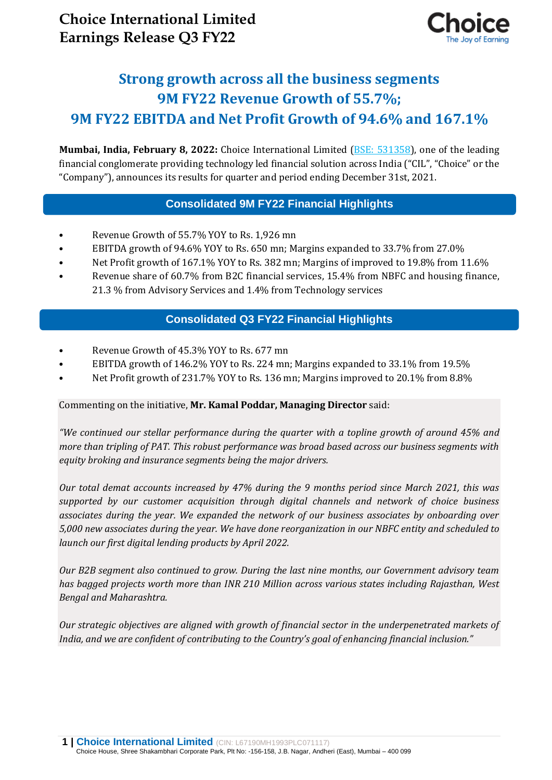

# **Strong growth across all the business segments 9M FY22 Revenue Growth of 55.7%; 9M FY22 EBITDA and Net Profit Growth of 94.6% and 167.1%**

**Mumbai, India, February 8, 2022:** Choice International Limited [\(BSE: 531358\)](https://www.bseindia.com/stock-share-price/choice-international-ltd/choicein/531358/), one of the leading financial conglomerate providing technology led financial solution across India ("CIL", "Choice" or the "Company"), announces its results for quarter and period ending December 31st, 2021.

# **Consolidated 9M FY22 Financial Highlights**

- Revenue Growth of 55.7% YOY to Rs. 1,926 mn
- EBITDA growth of 94.6% YOY to Rs. 650 mn; Margins expanded to 33.7% from 27.0%
- Net Profit growth of 167.1% YOY to Rs. 382 mn; Margins of improved to 19.8% from 11.6%
- Revenue share of 60.7% from B2C financial services, 15.4% from NBFC and housing finance, 21.3 % from Advisory Services and 1.4% from Technology services

# **Consolidated Q3 FY22 Financial Highlights**

- Revenue Growth of 45.3% YOY to Rs. 677 mn
- EBITDA growth of 146.2% YOY to Rs. 224 mn; Margins expanded to 33.1% from 19.5%
- Net Profit growth of 231.7% YOY to Rs. 136 mn; Margins improved to 20.1% from 8.8%

## Commenting on the initiative, **Mr. Kamal Poddar, Managing Director** said:

*"We continued our stellar performance during the quarter with a topline growth of around 45% and more than tripling of PAT. This robust performance was broad based across our business segments with equity broking and insurance segments being the major drivers.*

*Our total demat accounts increased by 47% during the 9 months period since March 2021, this was supported by our customer acquisition through digital channels and network of choice business associates during the year. We expanded the network of our business associates by onboarding over 5,000 new associates during the year. We have done reorganization in our NBFC entity and scheduled to launch our first digital lending products by April 2022.*

*Our B2B segment also continued to grow. During the last nine months, our Government advisory team has bagged projects worth more than INR 210 Million across various states including Rajasthan, West Bengal and Maharashtra.*

*Our strategic objectives are aligned with growth of financial sector in the underpenetrated markets of India, and we are confident of contributing to the Country's goal of enhancing financial inclusion."*